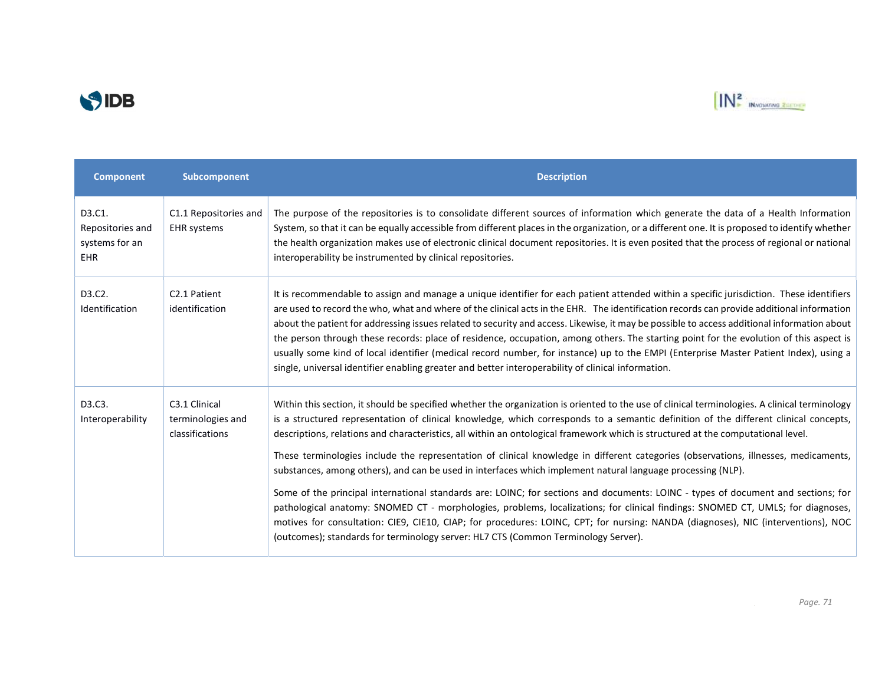



| <b>Component</b>                                           | Subcomponent                                          | <b>Description</b>                                                                                                                                                                                                                                                                                                                                                                                                                                                                                                                                                                                                                                                                                                                                                                                                                                                                                                                                                                                                                                                                                                                                                                 |
|------------------------------------------------------------|-------------------------------------------------------|------------------------------------------------------------------------------------------------------------------------------------------------------------------------------------------------------------------------------------------------------------------------------------------------------------------------------------------------------------------------------------------------------------------------------------------------------------------------------------------------------------------------------------------------------------------------------------------------------------------------------------------------------------------------------------------------------------------------------------------------------------------------------------------------------------------------------------------------------------------------------------------------------------------------------------------------------------------------------------------------------------------------------------------------------------------------------------------------------------------------------------------------------------------------------------|
| D3.C1.<br>Repositories and<br>systems for an<br><b>EHR</b> | C1.1 Repositories and<br><b>EHR</b> systems           | The purpose of the repositories is to consolidate different sources of information which generate the data of a Health Information<br>System, so that it can be equally accessible from different places in the organization, or a different one. It is proposed to identify whether<br>the health organization makes use of electronic clinical document repositories. It is even posited that the process of regional or national<br>interoperability be instrumented by clinical repositories.                                                                                                                                                                                                                                                                                                                                                                                                                                                                                                                                                                                                                                                                                  |
| D3.C2.<br>Identification                                   | C <sub>2.1</sub> Patient<br>identification            | It is recommendable to assign and manage a unique identifier for each patient attended within a specific jurisdiction. These identifiers<br>are used to record the who, what and where of the clinical acts in the EHR. The identification records can provide additional information<br>about the patient for addressing issues related to security and access. Likewise, it may be possible to access additional information about<br>the person through these records: place of residence, occupation, among others. The starting point for the evolution of this aspect is<br>usually some kind of local identifier (medical record number, for instance) up to the EMPI (Enterprise Master Patient Index), using a<br>single, universal identifier enabling greater and better interoperability of clinical information.                                                                                                                                                                                                                                                                                                                                                      |
| D3.C3.<br>Interoperability                                 | C3.1 Clinical<br>terminologies and<br>classifications | Within this section, it should be specified whether the organization is oriented to the use of clinical terminologies. A clinical terminology<br>is a structured representation of clinical knowledge, which corresponds to a semantic definition of the different clinical concepts,<br>descriptions, relations and characteristics, all within an ontological framework which is structured at the computational level.<br>These terminologies include the representation of clinical knowledge in different categories (observations, illnesses, medicaments,<br>substances, among others), and can be used in interfaces which implement natural language processing (NLP).<br>Some of the principal international standards are: LOINC; for sections and documents: LOINC - types of document and sections; for<br>pathological anatomy: SNOMED CT - morphologies, problems, localizations; for clinical findings: SNOMED CT, UMLS; for diagnoses,<br>motives for consultation: CIE9, CIE10, CIAP; for procedures: LOINC, CPT; for nursing: NANDA (diagnoses), NIC (interventions), NOC<br>(outcomes); standards for terminology server: HL7 CTS (Common Terminology Server). |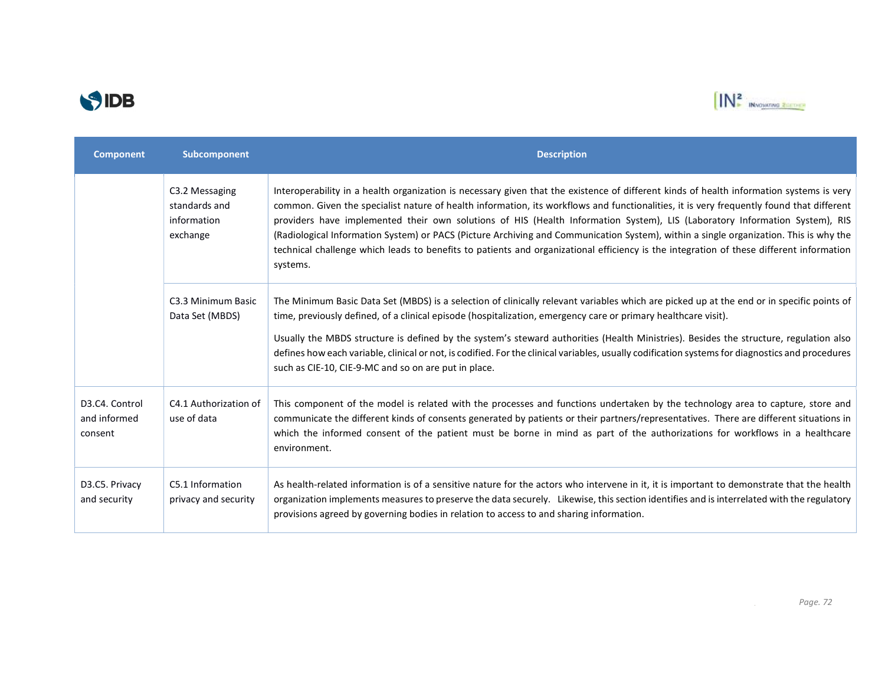



| <b>Component</b>                                                    | Subcomponent                                               | <b>Description</b>                                                                                                                                                                                                                                                                                                                                                                                                                                                                                                                                                                                                                                                                                                  |
|---------------------------------------------------------------------|------------------------------------------------------------|---------------------------------------------------------------------------------------------------------------------------------------------------------------------------------------------------------------------------------------------------------------------------------------------------------------------------------------------------------------------------------------------------------------------------------------------------------------------------------------------------------------------------------------------------------------------------------------------------------------------------------------------------------------------------------------------------------------------|
|                                                                     | C3.2 Messaging<br>standards and<br>information<br>exchange | Interoperability in a health organization is necessary given that the existence of different kinds of health information systems is very<br>common. Given the specialist nature of health information, its workflows and functionalities, it is very frequently found that different<br>providers have implemented their own solutions of HIS (Health Information System), LIS (Laboratory Information System), RIS<br>(Radiological Information System) or PACS (Picture Archiving and Communication System), within a single organization. This is why the<br>technical challenge which leads to benefits to patients and organizational efficiency is the integration of these different information<br>systems. |
|                                                                     | C3.3 Minimum Basic<br>Data Set (MBDS)                      | The Minimum Basic Data Set (MBDS) is a selection of clinically relevant variables which are picked up at the end or in specific points of<br>time, previously defined, of a clinical episode (hospitalization, emergency care or primary healthcare visit).<br>Usually the MBDS structure is defined by the system's steward authorities (Health Ministries). Besides the structure, regulation also<br>defines how each variable, clinical or not, is codified. For the clinical variables, usually codification systems for diagnostics and procedures<br>such as CIE-10, CIE-9-MC and so on are put in place.                                                                                                    |
| D <sub>3</sub> .C <sub>4</sub> . Control<br>and informed<br>consent | C4.1 Authorization of<br>use of data                       | This component of the model is related with the processes and functions undertaken by the technology area to capture, store and<br>communicate the different kinds of consents generated by patients or their partners/representatives. There are different situations in<br>which the informed consent of the patient must be borne in mind as part of the authorizations for workflows in a healthcare<br>environment.                                                                                                                                                                                                                                                                                            |
| D3.C5. Privacy<br>and security                                      | C5.1 Information<br>privacy and security                   | As health-related information is of a sensitive nature for the actors who intervene in it, it is important to demonstrate that the health<br>organization implements measures to preserve the data securely. Likewise, this section identifies and is interrelated with the regulatory<br>provisions agreed by governing bodies in relation to access to and sharing information.                                                                                                                                                                                                                                                                                                                                   |